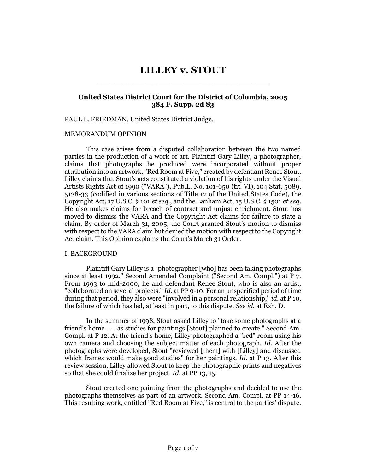# **LILLEY v. STOUT** \_\_\_\_\_\_\_\_\_\_\_\_\_\_\_\_\_\_\_\_\_\_\_\_\_\_\_\_

## **United States District Court for the District of Columbia, 2005 384 F. Supp. 2d 83**

## PAUL L. FRIEDMAN, United States District Judge.

## MEMORANDUM OPINION

This case arises from a disputed collaboration between the two named parties in the production of a work of art. Plaintiff Gary Lilley, a photographer, claims that photographs he produced were incorporated without proper attribution into an artwork, "Red Room at Five," created by defendant Renee Stout. Lilley claims that Stout's acts constituted a violation of his rights under the Visual Artists Rights Act of 1990 ("VARA"), Pub.L. No. 101-650 (tit. VI), 104 Stat. 5089, 5128-33 (codified in various sections of Title 17 of the United States Code), the Copyright Act, 17 U.S.C. § 101 *et seq.*, and the Lanham Act, 15 U.S.C. § 1501 *et seq*. He also makes claims for breach of contract and unjust enrichment. Stout has moved to dismiss the VARA and the Copyright Act claims for failure to state a claim. By order of March 31, 2005, the Court granted Stout's motion to dismiss with respect to the VARA claim but denied the motion with respect to the Copyright Act claim. This Opinion explains the Court's March 31 Order.

#### I. BACKGROUND

Plaintiff Gary Lilley is a "photographer [who] has been taking photographs since at least 1992." Second Amended Complaint ("Second Am. Compl.") at P 7. From 1993 to mid-2000, he and defendant Renee Stout, who is also an artist, "collaborated on several projects." *Id*. at PP 9-10. For an unspecified period of time during that period, they also were "involved in a personal relationship," *id*. at P 10, the failure of which has led, at least in part, to this dispute. *See id*. at Exh. D.

In the summer of 1998, Stout asked Lilley to "take some photographs at a friend's home . . . as studies for paintings [Stout] planned to create." Second Am. Compl. at P 12. At the friend's home, Lilley photographed a "red" room using his own camera and choosing the subject matter of each photograph. *Id*. After the photographs were developed, Stout "reviewed [them] with [Lilley] and discussed which frames would make good studies" for her paintings. *Id.* at P 13. After this review session, Lilley allowed Stout to keep the photographic prints and negatives so that she could finalize her project. *Id*. at PP 13, 15.

Stout created one painting from the photographs and decided to use the photographs themselves as part of an artwork. Second Am. Compl. at PP 14-16. This resulting work, entitled "Red Room at Five," is central to the parties' dispute.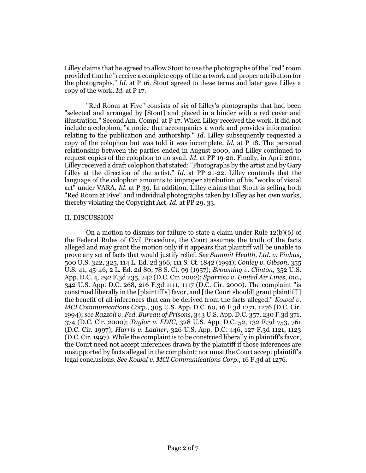Lilley claims that he agreed to allow Stout to use the photographs of the "red" room provided that he "receive a complete copy of the artwork and proper attribution for the photographs." *Id*. at P 16. Stout agreed to these terms and later gave Lilley a copy of the work. *Id*. at P 17.

"Red Room at Five" consists of six of Lilley's photographs that had been "selected and arranged by [Stout] and placed in a binder with a red cover and illustration." Second Am. Compl. at P 17. When Lilley received the work, it did not include a colophon, "a notice that accompanies a work and provides information relating to the publication and authorship." *Id*. Lilley subsequently requested a copy of the colophon but was told it was incomplete. *Id*. at P 18. The personal relationship between the parties ended in August 2000, and Lilley continued to request copies of the colophon to no avail. *Id*. at PP 19-20. Finally, in April 2001, Lilley received a draft colophon that stated: "Photographs by the artist and by Gary Lilley at the direction of the artist." *Id*. at PP 21-22. Lilley contends that the language of the colophon amounts to improper attribution of his "works of visual art" under VARA. *Id*. at P 39. In addition, Lilley claims that Stout is selling both "Red Room at Five" and individual photographs taken by Lilley as her own works, thereby violating the Copyright Act. *Id*. at PP 29, 33.

## II. DISCUSSION

On a motion to dismiss for failure to state a claim under Rule  $12(b)(6)$  of the Federal Rules of Civil Procedure, the Court assumes the truth of the facts alleged and may grant the motion only if it appears that plaintiff will be unable to prove any set of facts that would justify relief. *See Summit Health, Ltd. v. Pinhas*, 500 U.S. 322, 325, 114 L. Ed. 2d 366, 111 S. Ct. 1842 (1991); *Conley v. Gibson*, 355 U.S. 41, 45-46, 2 L. Ed. 2d 80, 78 S. Ct. 99 (1957); *Browning v. Clinton*, 352 U.S. App. D.C. 4, 292 F.3d 235, 242 (D.C. Cir. 2002); *Sparrow v. United Air Lines, Inc.*, 342 U.S. App. D.C. 268, 216 F.3d 1111, 1117 (D.C. Cir. 2000). The complaint "is construed liberally in the [plaintiff's] favor, and [the Court should] grant plaintiff[] the benefit of all inferences that can be derived from the facts alleged." *Kowal v. MCI Communications Corp.*, 305 U.S. App. D.C. 60, 16 F.3d 1271, 1276 (D.C. Cir. 1994); *see Razzoli v. Fed. Bureau of Prisons*, 343 U.S. App. D.C. 357, 230 F.3d 371, 374 (D.C. Cir. 2000); *Taylor v. FDIC*, 328 U.S. App. D.C. 52, 132 F.3d 753, 761 (D.C. Cir. 1997); *Harris v. Ladner*, 326 U.S. App. D.C. 446, 127 F.3d 1121, 1123 (D.C. Cir. 1997). While the complaint is to be construed liberally in plaintiff's favor, the Court need not accept inferences drawn by the plaintiff if those inferences are unsupported by facts alleged in the complaint; nor must the Court accept plaintiff's legal conclusions. *See Kowal v. MCI Communications Corp.*, 16 F.3d at 1276.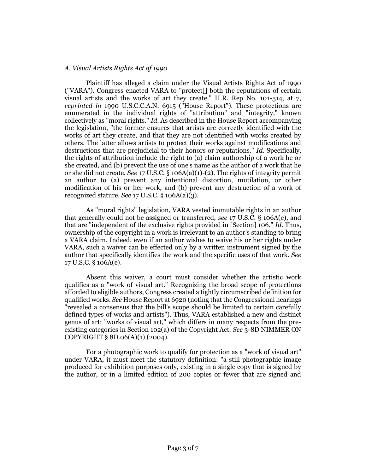## *A. Visual Artists Rights Act of 1990*

Plaintiff has alleged a claim under the Visual Artists Rights Act of 1990 ("VARA"). Congress enacted VARA to "protect[] both the reputations of certain visual artists and the works of art they create." H.R. Rep No. 101-514, at 7, *reprinted in* 1990 U.S.C.C.A.N. 6915 ("House Report"). These protections are enumerated in the individual rights of "attribution" and "integrity," known collectively as "moral rights." *Id*. As described in the House Report accompanying the legislation, "the former ensures that artists are correctly identified with the works of art they create, and that they are not identified with works created by others. The latter allows artists to protect their works against modifications and destructions that are prejudicial to their honors or reputations." *Id*. Specifically, the rights of attribution include the right to (a) claim authorship of a work he or she created, and (b) prevent the use of one's name as the author of a work that he or she did not create. *See* 17 U.S.C. § 106A(a)(1)-(2). The rights of integrity permit an author to (a) prevent any intentional distortion, mutilation, or other modification of his or her work, and (b) prevent any destruction of a work of recognized stature. *See* 17 U.S.C. § 106A(a)(3).

As "moral rights" legislation, VARA vested immutable rights in an author that generally could not be assigned or transferred, *see* 17 U.S.C. § 106A(e), and that are "independent of the exclusive rights provided in [Section] 106." *Id*. Thus, ownership of the copyright in a work is irrelevant to an author's standing to bring a VARA claim. Indeed, even if an author wishes to waive his or her rights under VARA, such a waiver can be effected only by a written instrument signed by the author that specifically identifies the work and the specific uses of that work. *See* 17 U.S.C. § 106A(e).

Absent this waiver, a court must consider whether the artistic work qualifies as a "work of visual art." Recognizing the broad scope of protections afforded to eligible authors, Congress created a tightly circumscribed definition for qualified works. *See* House Report at 6920 (noting that the Congressional hearings "revealed a consensus that the bill's scope should be limited to certain carefully defined types of works and artists"). Thus, VARA established a new and distinct genus of art: "works of visual art," which differs in many respects from the preexisting categories in Section 102(a) of the Copyright Act. *See* 3-8D NIMMER ON COPYRIGHT § 8D.06(A)(1) (2004).

For a photographic work to qualify for protection as a "work of visual art" under VARA, it must meet the statutory definition: "a still photographic image produced for exhibition purposes only, existing in a single copy that is signed by the author, or in a limited edition of 200 copies or fewer that are signed and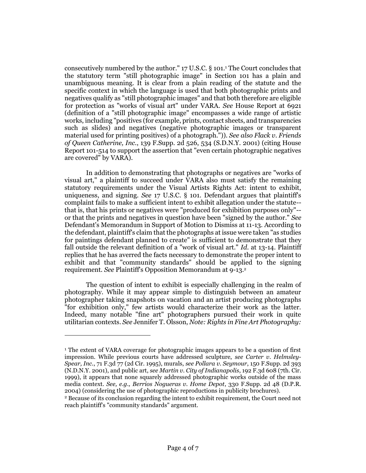consecutively numbered by the author." 17 U.S.C. § 101.<sup>1</sup> The Court concludes that the statutory term "still photographic image" in Section 101 has a plain and unambiguous meaning. It is clear from a plain reading of the statute and the specific context in which the language is used that both photographic prints and negatives qualify as "still photographic images" and that both therefore are eligible for protection as "works of visual art" under VARA. *See* House Report at 6921 (definition of a "still photographic image" encompasses a wide range of artistic works, including "positives (for example, prints, contact sheets, and transparencies such as slides) and negatives (negative photographic images or transparent material used for printing positives) of a photograph.")). *See also Flack v. Friends of Queen Catherine, Inc.*, 139 F.Supp. 2d 526, 534 (S.D.N.Y. 2001) (citing House Report 101-514 to support the assertion that "even certain photographic negatives are covered" by VARA).

In addition to demonstrating that photographs or negatives are "works of visual art," a plaintiff to succeed under VARA also must satisfy the remaining statutory requirements under the Visual Artists Rights Act: intent to exhibit, uniqueness, and signing. *See* 17 U.S.C. § 101. Defendant argues that plaintiff's complaint fails to make a sufficient intent to exhibit allegation under the statute- that is, that his prints or negatives were "produced for exhibition purposes only"- or that the prints and negatives in question have been "signed by the author." *See* Defendant's Memorandum in Support of Motion to Dismiss at 11-13. According to the defendant, plaintiff's claim that the photographs at issue were taken "as studies for paintings defendant planned to create" is sufficient to demonstrate that they fall outside the relevant definition of a "work of visual art." *Id*. at 13-14. Plaintiff replies that he has averred the facts necessary to demonstrate the proper intent to exhibit and that "community standards" should be applied to the signing requirement. *See* Plaintiff's Opposition Memorandum at 9-13.<sup>2</sup>

The question of intent to exhibit is especially challenging in the realm of photography. While it may appear simple to distinguish between an amateur photographer taking snapshots on vacation and an artist producing photographs "for exhibition only," few artists would characterize their work as the latter. Indeed, many notable "fine art" photographers pursued their work in quite utilitarian contexts. *See* Jennifer T. Olsson, *Note: Rights in Fine Art Photography:* 

 $\overline{a}$ 

<sup>1</sup> The extent of VARA coverage for photographic images appears to be a question of first impression. While previous courts have addressed sculpture, *see Carter v. Helmsley-Spear, Inc.*, 71 F.3d 77 (2d Cir. 1995), murals, *see Pollara v. Seymour*, 150 F.Supp. 2d 393 (N.D.N.Y. 2001), and public art, *see Martin v. City of Indianapolis*, 192 F.3d 608 (7th. Cir. 1999), it appears that none squarely addressed photographic works outside of the mass media context. *See, e.g., Berrios Nogueras v. Home Depot*, 330 F.Supp. 2d 48 (D.P.R. 2004) (considering the use of photographic reproductions in publicity brochures).

<sup>2</sup> Because of its conclusion regarding the intent to exhibit requirement, the Court need not reach plaintiff's "community standards" argument.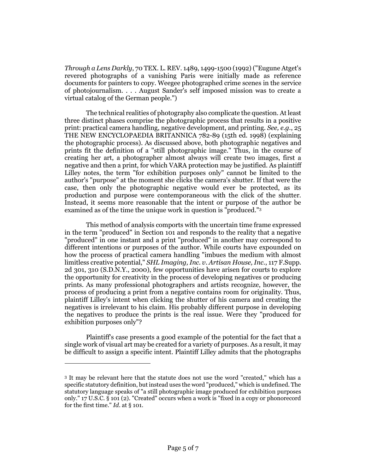*Through a Lens Darkly*, 70 TEX. L. REV. 1489, 1499-1500 (1992) ("Eugune Atget's revered photographs of a vanishing Paris were initially made as reference documents for painters to copy. Weegee photographed crime scenes in the service of photojournalism. . . . August Sander's self imposed mission was to create a virtual catalog of the German people.")

The technical realities of photography also complicate the question. At least three distinct phases comprise the photographic process that results in a positive print: practical camera handling, negative development, and printing. *See, e.g.*, 25 THE NEW ENCYCLOPAEDIA BRITANNICA 782-89 (15th ed. 1998) (explaining the photographic process). As discussed above, both photographic negatives and prints fit the definition of a "still photographic image." Thus, in the course of creating her art, a photographer almost always will create two images, first a negative and then a print, for which VARA protection may be justified. As plaintiff Lilley notes, the term "for exhibition purposes only" cannot be limited to the author's "purpose" at the moment she clicks the camera's shutter. If that were the case, then only the photographic negative would ever be protected, as its production and purpose were contemporaneous with the click of the shutter. Instead, it seems more reasonable that the intent or purpose of the author be examined as of the time the unique work in question is "produced."<sup>3</sup>

This method of analysis comports with the uncertain time frame expressed in the term "produced" in Section 101 and responds to the reality that a negative "produced" in one instant and a print "produced" in another may correspond to different intentions or purposes of the author. While courts have expounded on how the process of practical camera handling "imbues the medium with almost limitless creative potential," *SHL Imaging, Inc. v. Artisan House, Inc.*, 117 F.Supp. 2d 301, 310 (S.D.N.Y., 2000), few opportunities have arisen for courts to explore the opportunity for creativity in the process of developing negatives or producing prints. As many professional photographers and artists recognize, however, the process of producing a print from a negative contains room for originality. Thus, plaintiff Lilley's intent when clicking the shutter of his camera and creating the negatives is irrelevant to his claim. His probably different purpose in developing the negatives to produce the prints is the real issue. Were they "produced for exhibition purposes only"?

Plaintiff's case presents a good example of the potential for the fact that a single work of visual art may be created for a variety of purposes. As a result, it may be difficult to assign a specific intent. Plaintiff Lilley admits that the photographs

 $\overline{a}$ 

<sup>3</sup> It may be relevant here that the statute does not use the word "created," which has a specific statutory definition, but instead uses the word "produced," which is undefined. The statutory language speaks of "a still photographic image produced for exhibition purposes only." 17 U.S.C. § 101 (2). "Created" occurs when a work is "fixed in a copy or phonorecord for the first time." *Id*. at § 101.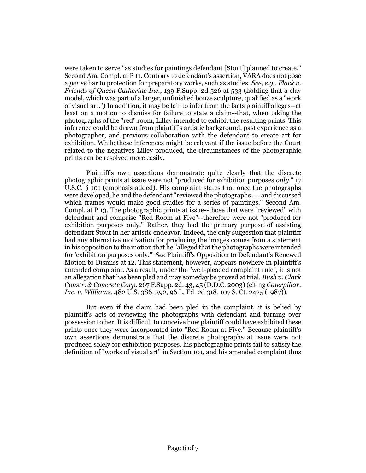were taken to serve "as studies for paintings defendant [Stout] planned to create." Second Am. Compl. at P 11. Contrary to defendant's assertion, VARA does not pose a *per se* bar to protection for preparatory works, such as studies. *See, e.g., Flack v. Friends of Queen Catherine Inc.*, 139 F.Supp. 2d 526 at 533 (holding that a clay model, which was part of a larger, unfinished bonze sculpture, qualified as a "work of visual art.") In addition, it may be fair to infer from the facts plaintiff alleges--at least on a motion to dismiss for failure to state a claim--that, when taking the photographs of the "red" room, Lilley intended to exhibit the resulting prints. This inference could be drawn from plaintiff's artistic background, past experience as a photographer, and previous collaboration with the defendant to create art for exhibition. While these inferences might be relevant if the issue before the Court related to the negatives Lilley produced, the circumstances of the photographic prints can be resolved more easily.

Plaintiff's own assertions demonstrate quite clearly that the discrete photographic prints at issue were not "produced for exhibition purposes *only*." 17 U.S.C. § 101 (emphasis added). His complaint states that once the photographs were developed, he and the defendant "reviewed the photographs . . . and discussed which frames would make good studies for a series of paintings." Second Am. Compl. at P 13. The photographic prints at issue--those that were "reviewed" with defendant and comprise "Red Room at Five"--therefore were not "produced for exhibition purposes only." Rather, they had the primary purpose of assisting defendant Stout in her artistic endeavor. Indeed, the only suggestion that plaintiff had any alternative motivation for producing the images comes from a statement in his opposition to the motion that he "alleged that the photographs were intended for 'exhibition purposes only.'" *See* Plaintiff's Opposition to Defendant's Renewed Motion to Dismiss at 12. This statement, however, appears nowhere in plaintiff's amended complaint. As a result, under the "well-pleaded complaint rule", it is not an allegation that has been pled and may someday be proved at trial. *Bush v. Clark Constr. & Concrete Corp.* 267 F.Supp. 2d. 43, 45 (D.D.C. 2003) (citing *Caterpillar, Inc. v. Williams*, 482 U.S. 386, 392, 96 L. Ed. 2d 318, 107 S. Ct. 2425 (1987)).

But even if the claim had been pled in the complaint, it is belied by plaintiff's acts of reviewing the photographs with defendant and turning over possession to her. It is difficult to conceive how plaintiff could have exhibited these prints once they were incorporated into "Red Room at Five." Because plaintiff's own assertions demonstrate that the discrete photographs at issue were not produced solely for exhibition purposes, his photographic prints fail to satisfy the definition of "works of visual art" in Section 101, and his amended complaint thus